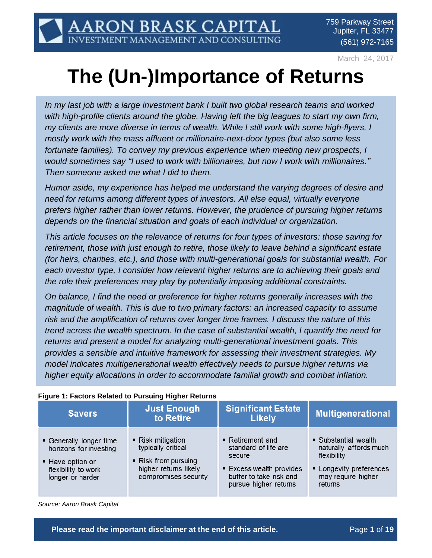March 24, 2017

# **The (Un-)Importance of Returns**

*In my last job with a large investment bank I built two global research teams and worked with high-profile clients around the globe. Having left the big leagues to start my own firm, my clients are more diverse in terms of wealth. While I still work with some high-flyers, I mostly work with the mass affluent or millionaire-next-door types (but also some less fortunate families). To convey my previous experience when meeting new prospects, I would sometimes say "I used to work with billionaires, but now I work with millionaires." Then someone asked me what I did to them.*

*Humor aside, my experience has helped me understand the varying degrees of desire and need for returns among different types of investors. All else equal, virtually everyone prefers higher rather than lower returns. However, the prudence of pursuing higher returns depends on the financial situation and goals of each individual or organization.*

*This article focuses on the relevance of returns for four types of investors: those saving for retirement, those with just enough to retire, those likely to leave behind a significant estate (for heirs, charities, etc.), and those with multi-generational goals for substantial wealth. For each investor type, I consider how relevant higher returns are to achieving their goals and the role their preferences may play by potentially imposing additional constraints.*

*On balance, I find the need or preference for higher returns generally increases with the magnitude of wealth. This is due to two primary factors: an increased capacity to assume risk and the amplification of returns over longer time frames. I discuss the nature of this trend across the wealth spectrum. In the case of substantial wealth, I quantify the need for returns and present a model for analyzing multi-generational investment goals. This provides a sensible and intuitive framework for assessing their investment strategies. My model indicates multigenerational wealth effectively needs to pursue higher returns via higher equity allocations in order to accommodate familial growth and combat inflation.*

| <b>Savers</b>                                                                                                    | <b>Just Enough</b><br>to Retire                                                                                  | <b>Significant Estate</b><br><b>Likely</b>                                                                                         | <b>Multigenerational</b>                                                                                                  |
|------------------------------------------------------------------------------------------------------------------|------------------------------------------------------------------------------------------------------------------|------------------------------------------------------------------------------------------------------------------------------------|---------------------------------------------------------------------------------------------------------------------------|
| • Generally longer time<br>horizons for investing<br>■ Have option or<br>flexibility to work<br>longer or harder | ■ Risk mitigation<br>typically critical<br>■ Risk from pursuing<br>higher returns likely<br>compromises security | ■ Retirement and<br>standard of life are<br>secure<br>■ Excess wealth provides<br>buffer to take risk and<br>pursue higher returns | • Substantial wealth<br>naturally affords much<br>flexibility<br>• Longevity preferences<br>may require higher<br>returns |

#### **Figure 1: Factors Related to Pursuing Higher Returns**

*Source: Aaron Brask Capital*

**Please read the important disclaimer at the end of this article. The readed of 19** Page 1 of 19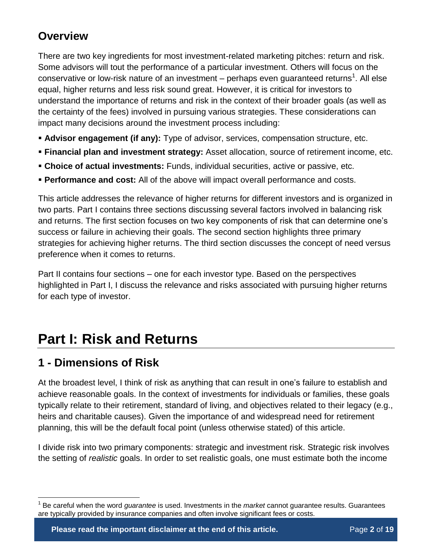### **Overview**

There are two key ingredients for most investment-related marketing pitches: return and risk. Some advisors will tout the performance of a particular investment. Others will focus on the conservative or low-risk nature of an investment – perhaps even guaranteed returns<sup>1</sup>. All else equal, higher returns and less risk sound great. However, it is critical for investors to understand the importance of returns and risk in the context of their broader goals (as well as the certainty of the fees) involved in pursuing various strategies. These considerations can impact many decisions around the investment process including:

- **Advisor engagement (if any):** Type of advisor, services, compensation structure, etc.
- **Financial plan and investment strategy:** Asset allocation, source of retirement income, etc.
- **Choice of actual investments:** Funds, individual securities, active or passive, etc.
- **Performance and cost:** All of the above will impact overall performance and costs.

This article addresses the relevance of higher returns for different investors and is organized in two parts. Part I contains three sections discussing several factors involved in balancing risk and returns. The first section focuses on two key components of risk that can determine one's success or failure in achieving their goals. The second section highlights three primary strategies for achieving higher returns. The third section discusses the concept of need versus preference when it comes to returns.

Part II contains four sections – one for each investor type. Based on the perspectives highlighted in Part I, I discuss the relevance and risks associated with pursuing higher returns for each type of investor.

## **Part I: Risk and Returns**

### **1 - Dimensions of Risk**

 $\overline{a}$ 

At the broadest level, I think of risk as anything that can result in one's failure to establish and achieve reasonable goals. In the context of investments for individuals or families, these goals typically relate to their retirement, standard of living, and objectives related to their legacy (e.g., heirs and charitable causes). Given the importance of and widespread need for retirement planning, this will be the default focal point (unless otherwise stated) of this article.

I divide risk into two primary components: strategic and investment risk. Strategic risk involves the setting of *realistic* goals. In order to set realistic goals, one must estimate both the income

<sup>1</sup> Be careful when the word *guarantee* is used. Investments in the *market* cannot guarantee results. Guarantees are typically provided by insurance companies and often involve significant fees or costs.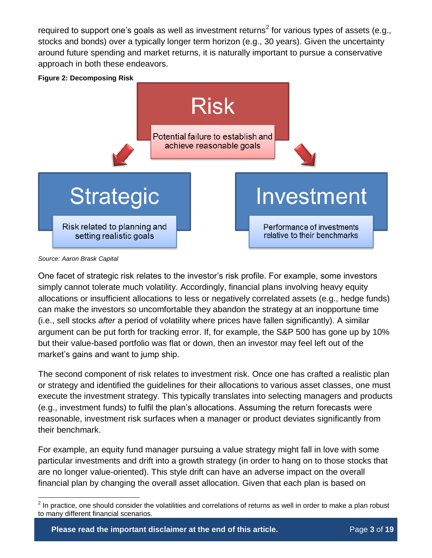required to support one's goals as well as investment returns<sup>2</sup> for various types of assets (e.g., stocks and bonds) over a typically longer term horizon (e.g., 30 years). Given the uncertainty around future spending and market returns, it is naturally important to pursue a conservative approach in both these endeavors.

**Figure 2: Decomposing Risk**



*Source: Aaron Brask Capital*

 $\overline{a}$ 

One facet of strategic risk relates to the investor's risk profile. For example, some investors simply cannot tolerate much volatility. Accordingly, financial plans involving heavy equity allocations or insufficient allocations to less or negatively correlated assets (e.g., hedge funds) can make the investors so uncomfortable they abandon the strategy at an inopportune time (i.e., sell stocks *after* a period of volatility where prices have fallen significantly). A similar argument can be put forth for tracking error. If, for example, the S&P 500 has gone up by 10% but their value-based portfolio was flat or down, then an investor may feel left out of the market's gains and want to jump ship.

The second component of risk relates to investment risk. Once one has crafted a realistic plan or strategy and identified the guidelines for their allocations to various asset classes, one must execute the investment strategy. This typically translates into selecting managers and products (e.g., investment funds) to fulfil the plan's allocations. Assuming the return forecasts were reasonable, investment risk surfaces when a manager or product deviates significantly from their benchmark.

For example, an equity fund manager pursuing a value strategy might fall in love with some particular investments and drift into a growth strategy (in order to hang on to those stocks that are no longer value-oriented). This style drift can have an adverse impact on the overall financial plan by changing the overall asset allocation. Given that each plan is based on

 $^2$  In practice, one should consider the volatilities and correlations of returns as well in order to make a plan robust to many different financial scenarios.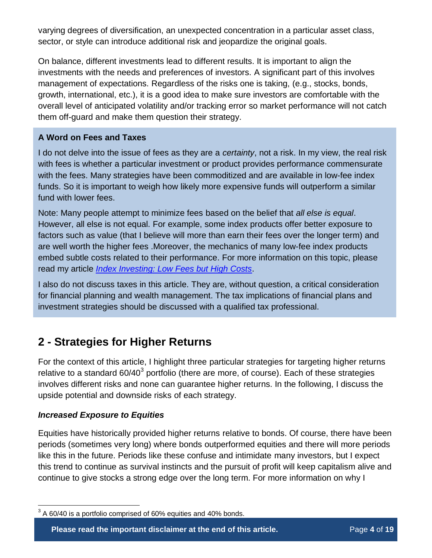varying degrees of diversification, an unexpected concentration in a particular asset class, sector, or style can introduce additional risk and jeopardize the original goals.

On balance, different investments lead to different results. It is important to align the investments with the needs and preferences of investors. A significant part of this involves management of expectations. Regardless of the risks one is taking, (e.g., stocks, bonds, growth, international, etc.), it is a good idea to make sure investors are comfortable with the overall level of anticipated volatility and/or tracking error so market performance will not catch them off-guard and make them question their strategy.

#### **A Word on Fees and Taxes**

I do not delve into the issue of fees as they are a *certainty*, not a risk. In my view, the real risk with fees is whether a particular investment or product provides performance commensurate with the fees. Many strategies have been commoditized and are available in low-fee index funds. So it is important to weigh how likely more expensive funds will outperform a similar fund with lower fees.

Note: Many people attempt to minimize fees based on the belief that *all else is equal*. However, all else is not equal. For example, some index products offer better exposure to factors such as value (that I believe will more than earn their fees over the longer term) and are well worth the higher fees .Moreover, the mechanics of many low-fee index products embed subtle costs related to their performance. For more information on this topic, please read my article *[Index Investing: Low Fees but High Costs](http://www.aaronbraskcapital.com/research/low-fees-high-costs/)*.

I also do not discuss taxes in this article. They are, without question, a critical consideration for financial planning and wealth management. The tax implications of financial plans and investment strategies should be discussed with a qualified tax professional.

### **2 - Strategies for Higher Returns**

For the context of this article, I highlight three particular strategies for targeting higher returns relative to a standard 60/40<sup>3</sup> portfolio (there are more, of course). Each of these strategies involves different risks and none can guarantee higher returns. In the following, I discuss the upside potential and downside risks of each strategy.

#### *Increased Exposure to Equities*

 $\overline{a}$ 

Equities have historically provided higher returns relative to bonds. Of course, there have been periods (sometimes very long) where bonds outperformed equities and there will more periods like this in the future. Periods like these confuse and intimidate many investors, but I expect this trend to continue as survival instincts and the pursuit of profit will keep capitalism alive and continue to give stocks a strong edge over the long term. For more information on why I

**Please read the important disclaimer at the end of this article. Page 4 of 19** 

 $3$  A 60/40 is a portfolio comprised of 60% equities and 40% bonds.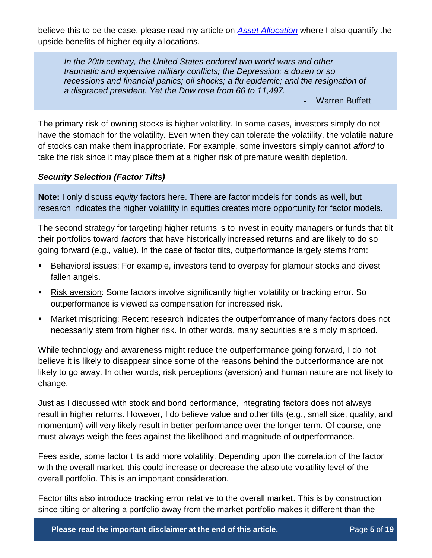believe this to be the case, please read my article on *[Asset Allocation](http://www.aaronbraskcapital.com/research/asset-allocation-logic-math-behind-risk-return/)* where I also quantify the upside benefits of higher equity allocations.

*In the 20th century, the United States endured two world wars and other traumatic and expensive military conflicts; the Depression; a dozen or so recessions and financial panics; oil shocks; a flu epidemic; and the resignation of a disgraced president. Yet the Dow rose from 66 to 11,497.*

Warren Buffett

The primary risk of owning stocks is higher volatility. In some cases, investors simply do not have the stomach for the volatility. Even when they can tolerate the volatility, the volatile nature of stocks can make them inappropriate. For example, some investors simply cannot *afford* to take the risk since it may place them at a higher risk of premature wealth depletion.

#### *Security Selection (Factor Tilts)*

**Note:** I only discuss *equity* factors here. There are factor models for bonds as well, but research indicates the higher volatility in equities creates more opportunity for factor models.

The second strategy for targeting higher returns is to invest in equity managers or funds that tilt their portfolios toward *factors* that have historically increased returns and are likely to do so going forward (e.g., value). In the case of factor tilts, outperformance largely stems from:

- Behavioral issues: For example, investors tend to overpay for glamour stocks and divest fallen angels.
- Risk aversion: Some factors involve significantly higher volatility or tracking error. So outperformance is viewed as compensation for increased risk.
- Market mispricing: Recent research indicates the outperformance of many factors does not necessarily stem from higher risk. In other words, many securities are simply mispriced.

While technology and awareness might reduce the outperformance going forward, I do not believe it is likely to disappear since some of the reasons behind the outperformance are not likely to go away. In other words, risk perceptions (aversion) and human nature are not likely to change.

Just as I discussed with stock and bond performance, integrating factors does not always result in higher returns. However, I do believe value and other tilts (e.g., small size, quality, and momentum) will very likely result in better performance over the longer term. Of course, one must always weigh the fees against the likelihood and magnitude of outperformance.

Fees aside, some factor tilts add more volatility. Depending upon the correlation of the factor with the overall market, this could increase or decrease the absolute volatility level of the overall portfolio. This is an important consideration.

Factor tilts also introduce tracking error relative to the overall market. This is by construction since tilting or altering a portfolio away from the market portfolio makes it different than the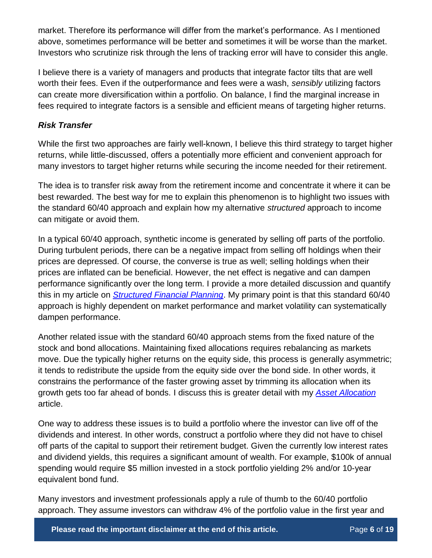market. Therefore its performance will differ from the market's performance. As I mentioned above, sometimes performance will be better and sometimes it will be worse than the market. Investors who scrutinize risk through the lens of tracking error will have to consider this angle.

I believe there is a variety of managers and products that integrate factor tilts that are well worth their fees. Even if the outperformance and fees were a wash, *sensibly* utilizing factors can create more diversification within a portfolio. On balance, I find the marginal increase in fees required to integrate factors is a sensible and efficient means of targeting higher returns.

#### *Risk Transfer*

While the first two approaches are fairly well-known, I believe this third strategy to target higher returns, while little-discussed, offers a potentially more efficient and convenient approach for many investors to target higher returns while securing the income needed for their retirement.

The idea is to transfer risk away from the retirement income and concentrate it where it can be best rewarded. The best way for me to explain this phenomenon is to highlight two issues with the standard 60/40 approach and explain how my alternative *structured* approach to income can mitigate or avoid them.

In a typical 60/40 approach, synthetic income is generated by selling off parts of the portfolio. During turbulent periods, there can be a negative impact from selling off holdings when their prices are depressed. Of course, the converse is true as well; selling holdings when their prices are inflated can be beneficial. However, the net effect is negative and can dampen performance significantly over the long term. I provide a more detailed discussion and quantify this in my article on *[Structured Financial Planning](http://www.aaronbraskcapital.com/research/structured-financial-planning/)*. My primary point is that this standard 60/40 approach is highly dependent on market performance and market volatility can systematically dampen performance.

Another related issue with the standard 60/40 approach stems from the fixed nature of the stock and bond allocations. Maintaining fixed allocations requires rebalancing as markets move. Due the typically higher returns on the equity side, this process is generally asymmetric; it tends to redistribute the upside from the equity side over the bond side. In other words, it constrains the performance of the faster growing asset by trimming its allocation when its growth gets too far ahead of bonds. I discuss this is greater detail with my *[Asset Allocation](http://www.aaronbraskcapital.com/research/asset-allocation-logic-math-behind-risk-return/)* article.

One way to address these issues is to build a portfolio where the investor can live off of the dividends and interest. In other words, construct a portfolio where they did not have to chisel off parts of the capital to support their retirement budget. Given the currently low interest rates and dividend yields, this requires a significant amount of wealth. For example, \$100k of annual spending would require \$5 million invested in a stock portfolio yielding 2% and/or 10-year equivalent bond fund.

Many investors and investment professionals apply a rule of thumb to the 60/40 portfolio approach. They assume investors can withdraw 4% of the portfolio value in the first year and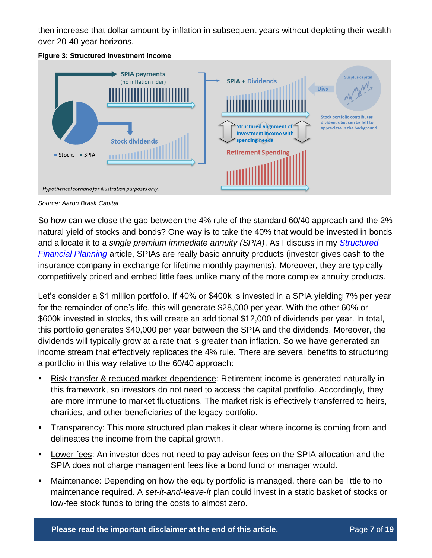then increase that dollar amount by inflation in subsequent years without depleting their wealth over 20-40 year horizons.





*Source: Aaron Brask Capital*

So how can we close the gap between the 4% rule of the standard 60/40 approach and the 2% natural yield of stocks and bonds? One way is to take the 40% that would be invested in bonds and allocate it to a *single premium immediate annuity (SPIA)*. As I discuss in my *[Structured](http://www.aaronbraskcapital.com/research/structured-financial-planning/)  [Financial Planning](http://www.aaronbraskcapital.com/research/structured-financial-planning/)* article, SPIAs are really basic annuity products (investor gives cash to the insurance company in exchange for lifetime monthly payments). Moreover, they are typically competitively priced and embed little fees unlike many of the more complex annuity products.

Let's consider a \$1 million portfolio. If 40% or \$400k is invested in a SPIA yielding 7% per year for the remainder of one's life, this will generate \$28,000 per year. With the other 60% or \$600k invested in stocks, this will create an additional \$12,000 of dividends per year. In total, this portfolio generates \$40,000 per year between the SPIA and the dividends. Moreover, the dividends will typically grow at a rate that is greater than inflation. So we have generated an income stream that effectively replicates the 4% rule. There are several benefits to structuring a portfolio in this way relative to the 60/40 approach:

- Risk transfer & reduced market dependence: Retirement income is generated naturally in this framework, so investors do not need to access the capital portfolio. Accordingly, they are more immune to market fluctuations. The market risk is effectively transferred to heirs, charities, and other beneficiaries of the legacy portfolio.
- Transparency: This more structured plan makes it clear where income is coming from and delineates the income from the capital growth.
- Lower fees: An investor does not need to pay advisor fees on the SPIA allocation and the SPIA does not charge management fees like a bond fund or manager would.
- Maintenance: Depending on how the equity portfolio is managed, there can be little to no maintenance required. A *set-it-and-leave-it* plan could invest in a static basket of stocks or low-fee stock funds to bring the costs to almost zero.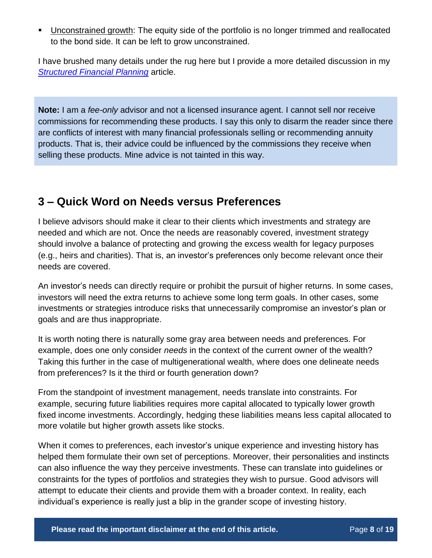**Unconstrained growth:** The equity side of the portfolio is no longer trimmed and reallocated to the bond side. It can be left to grow unconstrained.

I have brushed many details under the rug here but I provide a more detailed discussion in my *[Structured Financial Planning](http://www.aaronbraskcapital.com/research/structured-financial-planning/)* article.

**Note:** I am a *fee-only* advisor and not a licensed insurance agent. I cannot sell nor receive commissions for recommending these products. I say this only to disarm the reader since there are conflicts of interest with many financial professionals selling or recommending annuity products. That is, their advice could be influenced by the commissions they receive when selling these products. Mine advice is not tainted in this way.

### **3 – Quick Word on Needs versus Preferences**

I believe advisors should make it clear to their clients which investments and strategy are needed and which are not. Once the needs are reasonably covered, investment strategy should involve a balance of protecting and growing the excess wealth for legacy purposes (e.g., heirs and charities). That is, an investor's preferences only become relevant once their needs are covered.

An investor's needs can directly require or prohibit the pursuit of higher returns. In some cases, investors will need the extra returns to achieve some long term goals. In other cases, some investments or strategies introduce risks that unnecessarily compromise an investor's plan or goals and are thus inappropriate.

It is worth noting there is naturally some gray area between needs and preferences. For example, does one only consider *needs* in the context of the current owner of the wealth? Taking this further in the case of multigenerational wealth, where does one delineate needs from preferences? Is it the third or fourth generation down?

From the standpoint of investment management, needs translate into constraints. For example, securing future liabilities requires more capital allocated to typically lower growth fixed income investments. Accordingly, hedging these liabilities means less capital allocated to more volatile but higher growth assets like stocks.

When it comes to preferences, each investor's unique experience and investing history has helped them formulate their own set of perceptions. Moreover, their personalities and instincts can also influence the way they perceive investments. These can translate into guidelines or constraints for the types of portfolios and strategies they wish to pursue. Good advisors will attempt to educate their clients and provide them with a broader context. In reality, each individual's experience is really just a blip in the grander scope of investing history.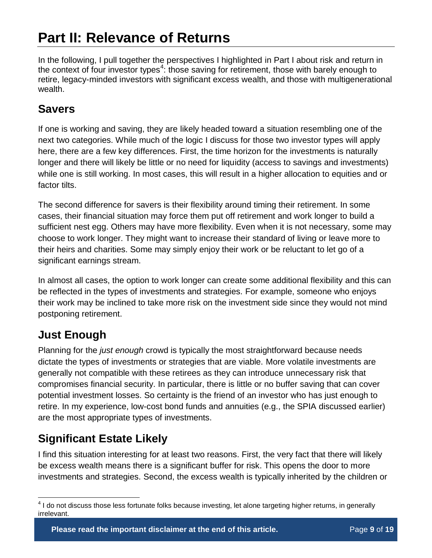# **Part II: Relevance of Returns**

In the following, I pull together the perspectives I highlighted in Part I about risk and return in the context of four investor types<sup>4</sup>: those saving for retirement, those with barely enough to retire, legacy-minded investors with significant excess wealth, and those with multigenerational wealth.

### **Savers**

If one is working and saving, they are likely headed toward a situation resembling one of the next two categories. While much of the logic I discuss for those two investor types will apply here, there are a few key differences. First, the time horizon for the investments is naturally longer and there will likely be little or no need for liquidity (access to savings and investments) while one is still working. In most cases, this will result in a higher allocation to equities and or factor tilts.

The second difference for savers is their flexibility around timing their retirement. In some cases, their financial situation may force them put off retirement and work longer to build a sufficient nest egg. Others may have more flexibility. Even when it is not necessary, some may choose to work longer. They might want to increase their standard of living or leave more to their heirs and charities. Some may simply enjoy their work or be reluctant to let go of a significant earnings stream.

In almost all cases, the option to work longer can create some additional flexibility and this can be reflected in the types of investments and strategies. For example, someone who enjoys their work may be inclined to take more risk on the investment side since they would not mind postponing retirement.

### **Just Enough**

Planning for the *just enough* crowd is typically the most straightforward because needs dictate the types of investments or strategies that are viable. More volatile investments are generally not compatible with these retirees as they can introduce unnecessary risk that compromises financial security. In particular, there is little or no buffer saving that can cover potential investment losses. So certainty is the friend of an investor who has just enough to retire. In my experience, low-cost bond funds and annuities (e.g., the SPIA discussed earlier) are the most appropriate types of investments.

### **Significant Estate Likely**

I find this situation interesting for at least two reasons. First, the very fact that there will likely be excess wealth means there is a significant buffer for risk. This opens the door to more investments and strategies. Second, the excess wealth is typically inherited by the children or

 $\overline{a}$ <sup>4</sup> I do not discuss those less fortunate folks because investing, let alone targeting higher returns, in generally irrelevant.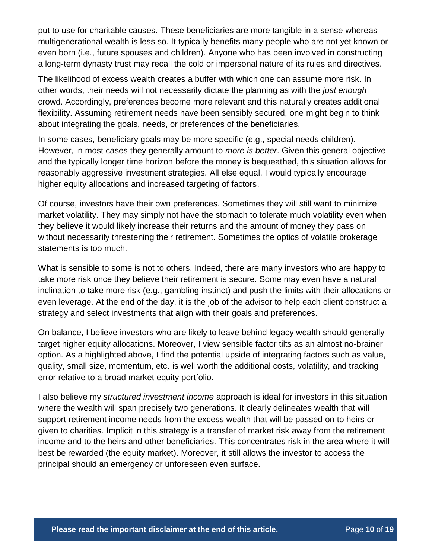put to use for charitable causes. These beneficiaries are more tangible in a sense whereas multigenerational wealth is less so. It typically benefits many people who are not yet known or even born (i.e., future spouses and children). Anyone who has been involved in constructing a long-term dynasty trust may recall the cold or impersonal nature of its rules and directives.

The likelihood of excess wealth creates a buffer with which one can assume more risk. In other words, their needs will not necessarily dictate the planning as with the *just enough* crowd. Accordingly, preferences become more relevant and this naturally creates additional flexibility. Assuming retirement needs have been sensibly secured, one might begin to think about integrating the goals, needs, or preferences of the beneficiaries.

In some cases, beneficiary goals may be more specific (e.g., special needs children). However, in most cases they generally amount to *more is better*. Given this general objective and the typically longer time horizon before the money is bequeathed, this situation allows for reasonably aggressive investment strategies. All else equal, I would typically encourage higher equity allocations and increased targeting of factors.

Of course, investors have their own preferences. Sometimes they will still want to minimize market volatility. They may simply not have the stomach to tolerate much volatility even when they believe it would likely increase their returns and the amount of money they pass on without necessarily threatening their retirement. Sometimes the optics of volatile brokerage statements is too much.

What is sensible to some is not to others. Indeed, there are many investors who are happy to take more risk once they believe their retirement is secure. Some may even have a natural inclination to take more risk (e.g., gambling instinct) and push the limits with their allocations or even leverage. At the end of the day, it is the job of the advisor to help each client construct a strategy and select investments that align with their goals and preferences.

On balance, I believe investors who are likely to leave behind legacy wealth should generally target higher equity allocations. Moreover, I view sensible factor tilts as an almost no-brainer option. As a highlighted above, I find the potential upside of integrating factors such as value, quality, small size, momentum, etc. is well worth the additional costs, volatility, and tracking error relative to a broad market equity portfolio.

I also believe my *structured investment income* approach is ideal for investors in this situation where the wealth will span precisely two generations. It clearly delineates wealth that will support retirement income needs from the excess wealth that will be passed on to heirs or given to charities. Implicit in this strategy is a transfer of market risk away from the retirement income and to the heirs and other beneficiaries. This concentrates risk in the area where it will best be rewarded (the equity market). Moreover, it still allows the investor to access the principal should an emergency or unforeseen even surface.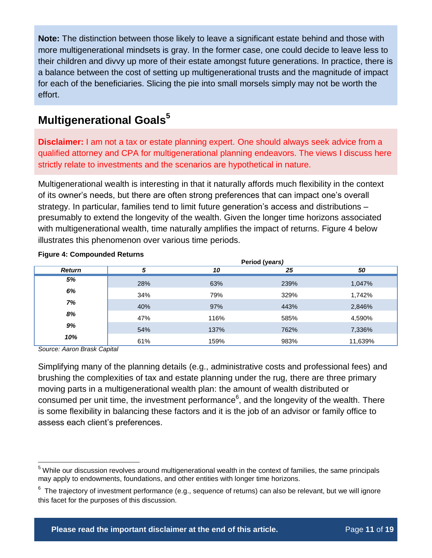**Note:** The distinction between those likely to leave a significant estate behind and those with more multigenerational mindsets is gray. In the former case, one could decide to leave less to their children and divvy up more of their estate amongst future generations. In practice, there is a balance between the cost of setting up multigenerational trusts and the magnitude of impact for each of the beneficiaries. Slicing the pie into small morsels simply may not be worth the effort.

### **Multigenerational Goals<sup>5</sup>**

**Disclaimer:** I am not a tax or estate planning expert. One should always seek advice from a qualified attorney and CPA for multigenerational planning endeavors. The views I discuss here strictly relate to investments and the scenarios are hypothetical in nature.

Multigenerational wealth is interesting in that it naturally affords much flexibility in the context of its owner's needs, but there are often strong preferences that can impact one's overall strategy. In particular, families tend to limit future generation's access and distributions – presumably to extend the longevity of the wealth. Given the longer time horizons associated with multigenerational wealth, time naturally amplifies the impact of returns. [Figure 4](#page-10-0) below illustrates this phenomenon over various time periods.

|               | Period (years) |      |      |         |  |  |
|---------------|----------------|------|------|---------|--|--|
| <b>Return</b> | 5              | 10   | 25   | 50      |  |  |
| 5%            | 28%            | 63%  | 239% | 1,047%  |  |  |
| 6%            | 34%            | 79%  | 329% | 1,742%  |  |  |
| 7%            | 40%            | 97%  | 443% | 2,846%  |  |  |
| 8%            | 47%            | 116% | 585% | 4,590%  |  |  |
| 9%            | 54%            | 137% | 762% | 7,336%  |  |  |
| 10%           | 61%            | 159% | 983% | 11,639% |  |  |

#### <span id="page-10-0"></span>**Figure 4: Compounded Returns**

*Source: Aaron Brask Capital*

 $\overline{a}$ 

Simplifying many of the planning details (e.g., administrative costs and professional fees) and brushing the complexities of tax and estate planning under the rug, there are three primary moving parts in a multigenerational wealth plan: the amount of wealth distributed or consumed per unit time, the investment performance<sup>6</sup>, and the longevity of the wealth. There is some flexibility in balancing these factors and it is the job of an advisor or family office to assess each client's preferences.

<sup>&</sup>lt;sup>5</sup> While our discussion revolves around multigenerational wealth in the context of families, the same principals may apply to endowments, foundations, and other entities with longer time horizons.

 $^6$  The trajectory of investment performance (e.g., sequence of returns) can also be relevant, but we will ignore this facet for the purposes of this discussion.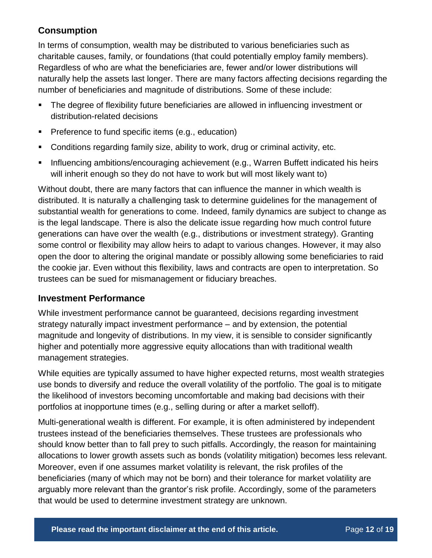### **Consumption**

In terms of consumption, wealth may be distributed to various beneficiaries such as charitable causes, family, or foundations (that could potentially employ family members). Regardless of who are what the beneficiaries are, fewer and/or lower distributions will naturally help the assets last longer. There are many factors affecting decisions regarding the number of beneficiaries and magnitude of distributions. Some of these include:

- The degree of flexibility future beneficiaries are allowed in influencing investment or distribution-related decisions
- **Preference to fund specific items (e.g., education)**
- Conditions regarding family size, ability to work, drug or criminal activity, etc.
- Influencing ambitions/encouraging achievement (e.g., Warren Buffett indicated his heirs will inherit enough so they do not have to work but will most likely want to)

Without doubt, there are many factors that can influence the manner in which wealth is distributed. It is naturally a challenging task to determine guidelines for the management of substantial wealth for generations to come. Indeed, family dynamics are subject to change as is the legal landscape. There is also the delicate issue regarding how much control future generations can have over the wealth (e.g., distributions or investment strategy). Granting some control or flexibility may allow heirs to adapt to various changes. However, it may also open the door to altering the original mandate or possibly allowing some beneficiaries to raid the cookie jar. Even without this flexibility, laws and contracts are open to interpretation. So trustees can be sued for mismanagement or fiduciary breaches.

#### **Investment Performance**

While investment performance cannot be guaranteed, decisions regarding investment strategy naturally impact investment performance – and by extension, the potential magnitude and longevity of distributions. In my view, it is sensible to consider significantly higher and potentially more aggressive equity allocations than with traditional wealth management strategies.

While equities are typically assumed to have higher expected returns, most wealth strategies use bonds to diversify and reduce the overall volatility of the portfolio. The goal is to mitigate the likelihood of investors becoming uncomfortable and making bad decisions with their portfolios at inopportune times (e.g., selling during or after a market selloff).

Multi-generational wealth is different. For example, it is often administered by independent trustees instead of the beneficiaries themselves. These trustees are professionals who should know better than to fall prey to such pitfalls. Accordingly, the reason for maintaining allocations to lower growth assets such as bonds (volatility mitigation) becomes less relevant. Moreover, even if one assumes market volatility is relevant, the risk profiles of the beneficiaries (many of which may not be born) and their tolerance for market volatility are arguably more relevant than the grantor's risk profile. Accordingly, some of the parameters that would be used to determine investment strategy are unknown.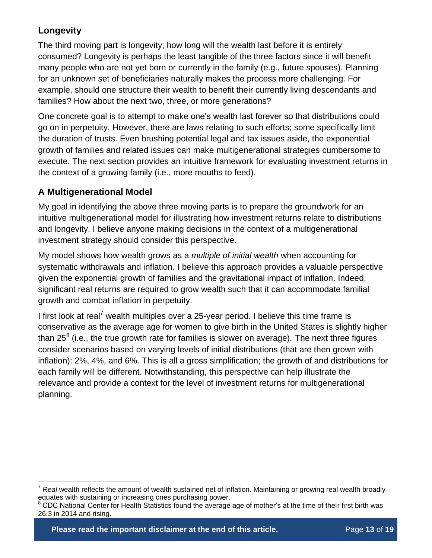### **Longevity**

 $\overline{a}$ 

The third moving part is longevity; how long will the wealth last before it is entirely consumed? Longevity is perhaps the least tangible of the three factors since it will benefit many people who are not yet born or currently in the family (e.g., future spouses). Planning for an unknown set of beneficiaries naturally makes the process more challenging. For example, should one structure their wealth to benefit their currently living descendants and families? How about the next two, three, or more generations?

One concrete goal is to attempt to make one's wealth last forever so that distributions could go on in perpetuity. However, there are laws relating to such efforts; some specifically limit the duration of trusts. Even brushing potential legal and tax issues aside, the exponential growth of families and related issues can make multigenerational strategies cumbersome to execute. The next section provides an intuitive framework for evaluating investment returns in the context of a growing family (i.e., more mouths to feed).

#### **A Multigenerational Model**

My goal in identifying the above three moving parts is to prepare the groundwork for an intuitive multigenerational model for illustrating how investment returns relate to distributions and longevity. I believe anyone making decisions in the context of a multigenerational investment strategy should consider this perspective.

My model shows how wealth grows as a *multiple of initial wealth* when accounting for systematic withdrawals and inflation. I believe this approach provides a valuable perspective given the exponential growth of families and the gravitational impact of inflation. Indeed, significant real returns are required to grow wealth such that it can accommodate familial growth and combat inflation in perpetuity.

I first look at real<sup>7</sup> wealth multiples over a 25-year period. I believe this time frame is conservative as the average age for women to give birth in the United States is slightly higher than 25<sup>8</sup> (i.e., the true growth rate for families is slower on average). The next three figures consider scenarios based on varying levels of initial distributions (that are then grown with inflation): 2%, 4%, and 6%. This is all a gross simplification; the growth of and distributions for each family will be different. Notwithstanding, this perspective can help illustrate the relevance and provide a context for the level of investment returns for multigenerational planning.

**Please read the important disclaimer at the end of this article.** Page 13 of 19

<sup>7</sup> *Real* wealth reflects the amount of wealth sustained net of inflation. Maintaining or growing real wealth broadly equates with sustaining or increasing ones purchasing power.

<sup>&</sup>lt;sup>8</sup> CDC National Center for Health Statistics found the average age of mother's at the time of their first birth was 26.3 in 2014 and rising.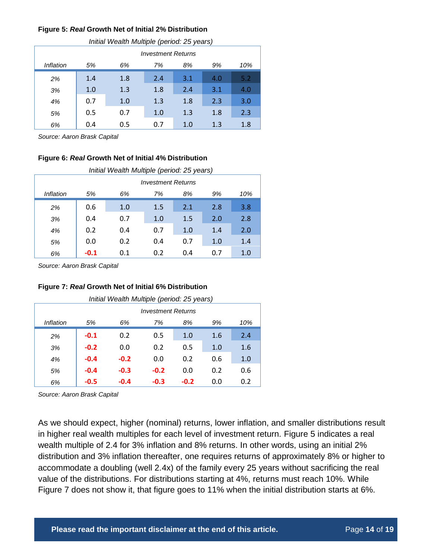#### <span id="page-13-0"></span>**Figure 5:** *Real* **Growth Net of Initial 2% Distribution**

| Initial Wealth Multiple (period: 25 years) |     |                           |     |     |     |     |  |
|--------------------------------------------|-----|---------------------------|-----|-----|-----|-----|--|
|                                            |     | <b>Investment Returns</b> |     |     |     |     |  |
| Inflation                                  | 5%  | 6%                        | 7%  | 8%  | 9%  | 10% |  |
| 2%                                         | 1.4 | 1.8                       | 2.4 | 3.1 | 4.0 | 5.2 |  |
| 3%                                         | 1.0 | 1.3                       | 1.8 | 2.4 | 3.1 | 4.0 |  |
| 4%                                         | 0.7 | 1.0                       | 1.3 | 1.8 | 2.3 | 3.0 |  |
| 5%                                         | 0.5 | 0.7                       | 1.0 | 1.3 | 1.8 | 2.3 |  |
| 6%                                         | 0.4 | 0.5                       | 0.7 | 1.0 | 1.3 | 1.8 |  |

*Source: Aaron Brask Capital*

#### **Figure 6:** *Real* **Growth Net of Initial 4% Distribution**

| Initial Wealth Multiple (period: 25 years) |                           |     |     |     |     |     |
|--------------------------------------------|---------------------------|-----|-----|-----|-----|-----|
|                                            | <b>Investment Returns</b> |     |     |     |     |     |
| Inflation                                  | 5%                        | 6%  | 7%  | 8%  | 9%  | 10% |
| 2%                                         | 0.6                       | 1.0 | 1.5 | 2.1 | 2.8 | 3.8 |
| 3%                                         | 0.4                       | 0.7 | 1.0 | 1.5 | 2.0 | 2.8 |
| 4%                                         | 0.2                       | 0.4 | 0.7 | 1.0 | 1.4 | 2.0 |
| 5%                                         | 0.0                       | 0.2 | 0.4 | 0.7 | 1.0 | 1.4 |
| 6%                                         | $-0.1$                    | 0.1 | 0.2 | 0.4 | 0.7 | 1.0 |

*Source: Aaron Brask Capital*

#### <span id="page-13-1"></span>**Figure 7:** *Real* **Growth Net of Initial 6% Distribution**

| Initial Wealth Multiple (period: 25 years) |                           |        |        |        |     |     |  |
|--------------------------------------------|---------------------------|--------|--------|--------|-----|-----|--|
|                                            | <b>Investment Returns</b> |        |        |        |     |     |  |
| Inflation                                  | 5%                        | 6%     | 7%     | 8%     | 9%  | 10% |  |
| 2%                                         | $-0.1$                    | 0.2    | 0.5    | 1.0    | 1.6 | 2.4 |  |
| 3%                                         | $-0.2$                    | 0.0    | 0.2    | 0.5    | 1.0 | 1.6 |  |
| 4%                                         | $-0.4$                    | $-0.2$ | 0.0    | 0.2    | 0.6 | 1.0 |  |
| 5%                                         | $-0.4$                    | $-0.3$ | $-0.2$ | 0.0    | 0.2 | 0.6 |  |
| 6%                                         | $-0.5$                    | $-0.4$ | $-0.3$ | $-0.2$ | 0.0 | 0.2 |  |

*Source: Aaron Brask Capital*

As we should expect, higher (nominal) returns, lower inflation, and smaller distributions result in higher real wealth multiples for each level of investment return. [Figure 5](#page-13-0) indicates a real wealth multiple of 2.4 for 3% inflation and 8% returns. In other words, using an initial 2% distribution and 3% inflation thereafter, one requires returns of approximately 8% or higher to accommodate a doubling (well 2.4x) of the family every 25 years without sacrificing the real value of the distributions. For distributions starting at 4%, returns must reach 10%. While [Figure 7](#page-13-1) does not show it, that figure goes to 11% when the initial distribution starts at 6%.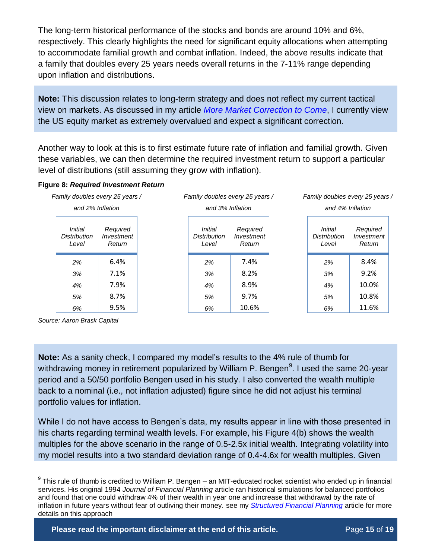The long-term historical performance of the stocks and bonds are around 10% and 6%, respectively. This clearly highlights the need for significant equity allocations when attempting to accommodate familial growth and combat inflation. Indeed, the above results indicate that a family that doubles every 25 years needs overall returns in the 7-11% range depending upon inflation and distributions.

**Note:** This discussion relates to long-term strategy and does not reflect my current tactical view on markets. As discussed in my article *[More Market Correction to Come](http://www.aaronbraskcapital.com/research/more-market-correction/)*, I currently view the US equity market as extremely overvalued and expect a significant correction.

Another way to look at this is to first estimate future rate of inflation and familial growth. Given these variables, we can then determine the required investment return to support a particular level of distributions (still assuming they grow with inflation).

#### **Figure 8:** *Required Investment Return*

| Family doubles every 25 years /                                                    |                                         | Family doubles every 25 years /  |                  |                                         | Family doubles every 25 years /  |  |
|------------------------------------------------------------------------------------|-----------------------------------------|----------------------------------|------------------|-----------------------------------------|----------------------------------|--|
| and 2% Inflation                                                                   | and 3% Inflation                        |                                  | and 4% Inflation |                                         |                                  |  |
| <i>Initial</i><br>Required<br><b>Distribution</b><br>Investment<br>Return<br>Level | Initial<br><b>Distribution</b><br>Level | Required<br>Investment<br>Return |                  | <i>Initial</i><br>Distribution<br>Level | Required<br>Investment<br>Return |  |
| 6.4%<br>2%                                                                         | 2%                                      | 7.4%                             |                  | 2%                                      | 8.4%                             |  |
| 7.1%<br>3%                                                                         | 3%                                      | 8.2%                             |                  | 3%                                      | 9.2%                             |  |
| 7.9%<br>4%                                                                         | 4%                                      | 8.9%                             |                  | 4%                                      | 10.0%                            |  |
| 8.7%<br>5%                                                                         | 5%                                      | 9.7%                             |                  | 5%                                      | 10.8%                            |  |
| 9.5%<br>6%                                                                         | 6%                                      | 10.6%                            |                  | 6%                                      | 11.6%                            |  |

*Source: Aaron Brask Capital*

**Note:** As a sanity check, I compared my model's results to the 4% rule of thumb for withdrawing money in retirement popularized by William P. Bengen<sup>9</sup>. I used the same 20-year period and a 50/50 portfolio Bengen used in his study. I also converted the wealth multiple back to a nominal (i.e., not inflation adjusted) figure since he did not adjust his terminal portfolio values for inflation.

While I do not have access to Bengen's data, my results appear in line with those presented in his charts regarding terminal wealth levels. For example, his Figure 4(b) shows the wealth multiples for the above scenario in the range of 0.5-2.5x initial wealth. Integrating volatility into my model results into a two standard deviation range of 0.4-4.6x for wealth multiples. Given

 $\overline{a}$  $9$  This rule of thumb is credited to William P. Bengen – an MIT-educated rocket scientist who ended up in financial services. His original 1994 *Journal of Financial Planning* article ran historical simulations for balanced portfolios and found that one could withdraw 4% of their wealth in year one and increase that withdrawal by the rate of inflation in future years without fear of outliving their money. see my *[Structured Financial Planning](http://www.aaronbraskcapital.com/research/structured-financial-planning/)* article for more details on this approach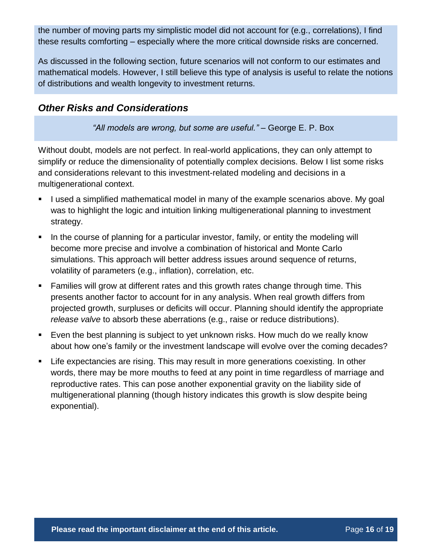the number of moving parts my simplistic model did not account for (e.g., correlations), I find these results comforting – especially where the more critical downside risks are concerned.

As discussed in the following section, future scenarios will not conform to our estimates and mathematical models. However, I still believe this type of analysis is useful to relate the notions of distributions and wealth longevity to investment returns.

### *Other Risks and Considerations*

*"All models are wrong, but some are useful."* – George E. P. Box

Without doubt, models are not perfect. In real-world applications, they can only attempt to simplify or reduce the dimensionality of potentially complex decisions. Below I list some risks and considerations relevant to this investment-related modeling and decisions in a multigenerational context.

- I used a simplified mathematical model in many of the example scenarios above. My goal was to highlight the logic and intuition linking multigenerational planning to investment strategy.
- In the course of planning for a particular investor, family, or entity the modeling will become more precise and involve a combination of historical and Monte Carlo simulations. This approach will better address issues around sequence of returns, volatility of parameters (e.g., inflation), correlation, etc.
- Families will grow at different rates and this growth rates change through time. This presents another factor to account for in any analysis. When real growth differs from projected growth, surpluses or deficits will occur. Planning should identify the appropriate *release valve* to absorb these aberrations (e.g., raise or reduce distributions).
- Even the best planning is subject to yet unknown risks. How much do we really know about how one's family or the investment landscape will evolve over the coming decades?
- Life expectancies are rising. This may result in more generations coexisting. In other words, there may be more mouths to feed at any point in time regardless of marriage and reproductive rates. This can pose another exponential gravity on the liability side of multigenerational planning (though history indicates this growth is slow despite being exponential).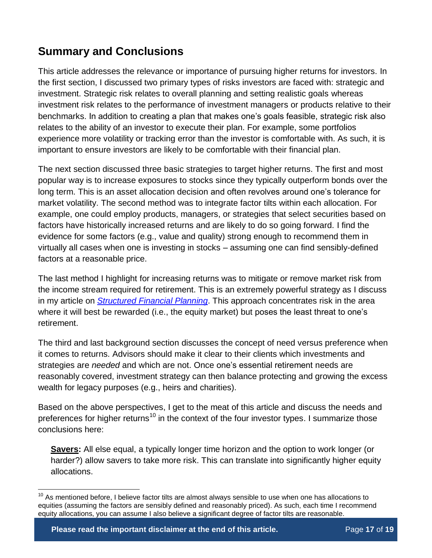### **Summary and Conclusions**

This article addresses the relevance or importance of pursuing higher returns for investors. In the first section, I discussed two primary types of risks investors are faced with: strategic and investment. Strategic risk relates to overall planning and setting realistic goals whereas investment risk relates to the performance of investment managers or products relative to their benchmarks. In addition to creating a plan that makes one's goals feasible, strategic risk also relates to the ability of an investor to execute their plan. For example, some portfolios experience more volatility or tracking error than the investor is comfortable with. As such, it is important to ensure investors are likely to be comfortable with their financial plan.

The next section discussed three basic strategies to target higher returns. The first and most popular way is to increase exposures to stocks since they typically outperform bonds over the long term. This is an asset allocation decision and often revolves around one's tolerance for market volatility. The second method was to integrate factor tilts within each allocation. For example, one could employ products, managers, or strategies that select securities based on factors have historically increased returns and are likely to do so going forward. I find the evidence for some factors (e.g., value and quality) strong enough to recommend them in virtually all cases when one is investing in stocks – assuming one can find sensibly-defined factors at a reasonable price.

The last method I highlight for increasing returns was to mitigate or remove market risk from the income stream required for retirement. This is an extremely powerful strategy as I discuss in my article on *[Structured Financial Planning](http://www.aaronbraskcapital.com/research/structured-financial-planning/)*. This approach concentrates risk in the area where it will best be rewarded (i.e., the equity market) but poses the least threat to one's retirement.

The third and last background section discusses the concept of need versus preference when it comes to returns. Advisors should make it clear to their clients which investments and strategies are *needed* and which are not. Once one's essential retirement needs are reasonably covered, investment strategy can then balance protecting and growing the excess wealth for legacy purposes (e.g., heirs and charities).

Based on the above perspectives, I get to the meat of this article and discuss the needs and preferences for higher returns<sup>10</sup> in the context of the four investor types. I summarize those conclusions here:

**Savers:** All else equal, a typically longer time horizon and the option to work longer (or harder?) allow savers to take more risk. This can translate into significantly higher equity allocations.

 $\overline{a}$ 

 $10$  As mentioned before, I believe factor tilts are almost always sensible to use when one has allocations to equities (assuming the factors are sensibly defined and reasonably priced). As such, each time I recommend equity allocations, you can assume I also believe a significant degree of factor tilts are reasonable.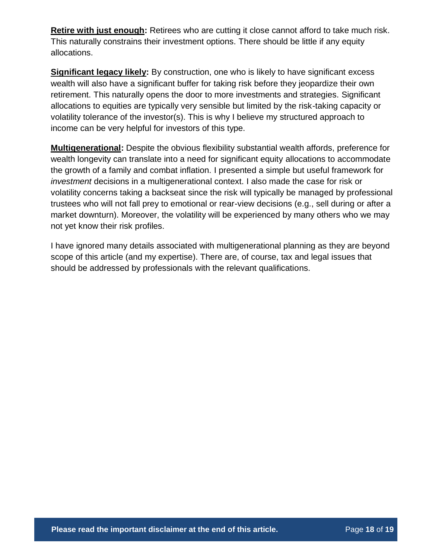**Retire with just enough:** Retirees who are cutting it close cannot afford to take much risk. This naturally constrains their investment options. There should be little if any equity allocations.

**Significant legacy likely:** By construction, one who is likely to have significant excess wealth will also have a significant buffer for taking risk before they jeopardize their own retirement. This naturally opens the door to more investments and strategies. Significant allocations to equities are typically very sensible but limited by the risk-taking capacity or volatility tolerance of the investor(s). This is why I believe my structured approach to income can be very helpful for investors of this type.

**Multigenerational:** Despite the obvious flexibility substantial wealth affords, preference for wealth longevity can translate into a need for significant equity allocations to accommodate the growth of a family and combat inflation. I presented a simple but useful framework for *investment* decisions in a multigenerational context. I also made the case for risk or volatility concerns taking a backseat since the risk will typically be managed by professional trustees who will not fall prey to emotional or rear-view decisions (e.g., sell during or after a market downturn). Moreover, the volatility will be experienced by many others who we may not yet know their risk profiles.

I have ignored many details associated with multigenerational planning as they are beyond scope of this article (and my expertise). There are, of course, tax and legal issues that should be addressed by professionals with the relevant qualifications.